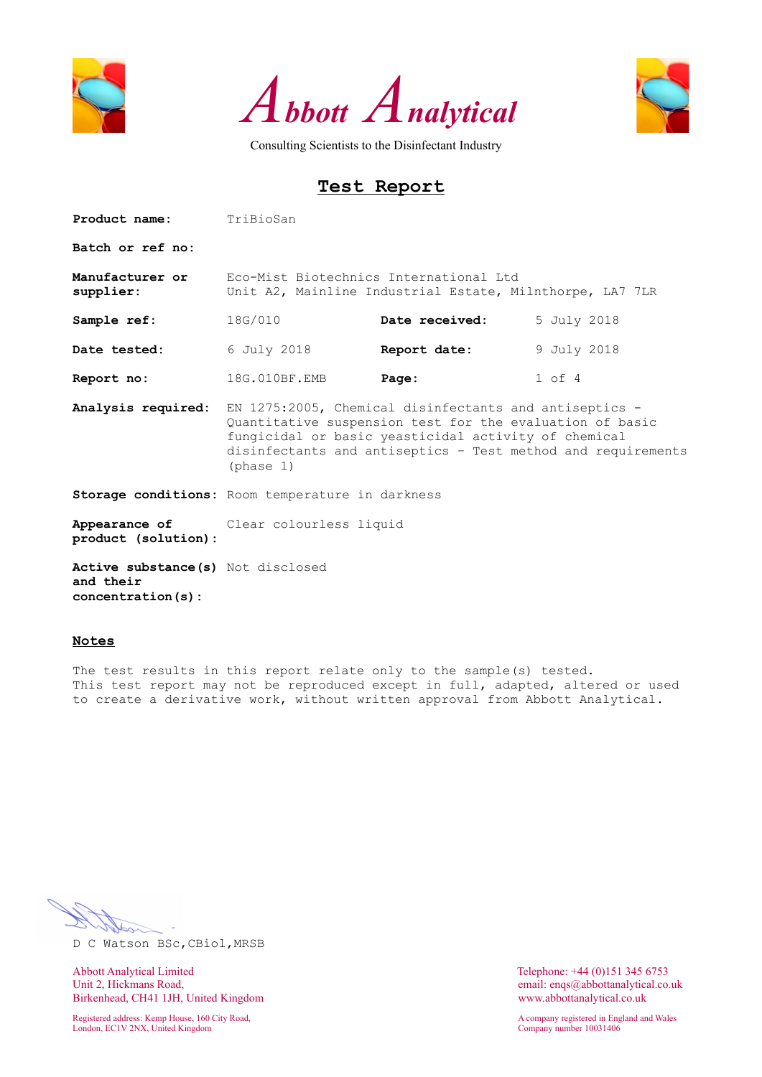





# **Test Report**

| <b>Product name:</b> TriBioSan                                       |                                                                                                                                                                                                                                                         |                |             |  |  |  |  |  |  |
|----------------------------------------------------------------------|---------------------------------------------------------------------------------------------------------------------------------------------------------------------------------------------------------------------------------------------------------|----------------|-------------|--|--|--|--|--|--|
| Batch or ref no:                                                     |                                                                                                                                                                                                                                                         |                |             |  |  |  |  |  |  |
| Manufacturer or<br>supplier:                                         | Eco-Mist Biotechnics International Ltd<br>Unit A2, Mainline Industrial Estate, Milnthorpe, LA7 7LR                                                                                                                                                      |                |             |  |  |  |  |  |  |
| Sample ref:                                                          | 18G/010                                                                                                                                                                                                                                                 | Date received: | 5 July 2018 |  |  |  |  |  |  |
| Date tested:                                                         | 6 July 2018                                                                                                                                                                                                                                             | Report date:   | 9 July 2018 |  |  |  |  |  |  |
| Report no:                                                           | 18G.010BF.EMB                                                                                                                                                                                                                                           | Page:          | $1$ of $4$  |  |  |  |  |  |  |
| Analysis required:                                                   | EN 1275:2005, Chemical disinfectants and antiseptics -<br>Quantitative suspension test for the evaluation of basic<br>fungicidal or basic yeasticidal activity of chemical<br>disinfectants and antiseptics - Test method and requirements<br>(phase 1) |                |             |  |  |  |  |  |  |
|                                                                      | Storage conditions: Room temperature in darkness                                                                                                                                                                                                        |                |             |  |  |  |  |  |  |
| product (solution):                                                  | Appearance of Clear colourless liquid                                                                                                                                                                                                                   |                |             |  |  |  |  |  |  |
| Active substance (s) Not disclosed<br>and their<br>concentration(s): |                                                                                                                                                                                                                                                         |                |             |  |  |  |  |  |  |

#### **Notes**

The test results in this report relate only to the sample(s) tested. This test report may not be reproduced except in full, adapted, altered or used to create a derivative work, without written approval from Abbott Analytical.

D C Watson BSc,CBiol,MRSB

Abbott Analytical Limited<br>
Unit 2, Hickmans Road,<br>
Unit 2, Hickmans Road,<br>
Conservation of the Maria Conservation of the Maria Conservation of the Maria Conservation of the Maria Conservation of the Maria Conservation of t Birkenhead, CH41 1JH, United Kingdom www.abbottanalytical.co.uk

Registered address: Kemp House, 160 City Road, A company registered in England and Wales London, EC1V 2NX, United Kingdom Company number 10031406

email: enqs@abbottanalytical.co.uk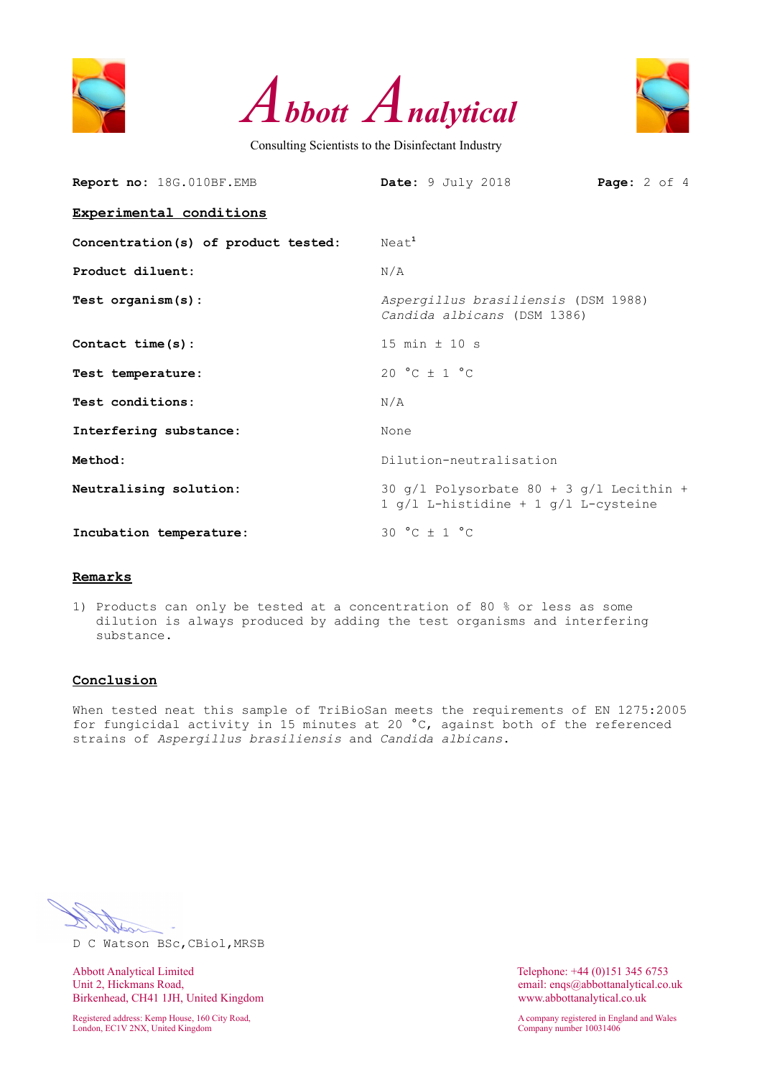





| Report no: 18G.010BF.EMB            | Date: 9 July 2018<br><b>Page:</b> $2$ of $4$                                         |
|-------------------------------------|--------------------------------------------------------------------------------------|
| Experimental conditions             |                                                                                      |
| Concentration(s) of product tested: | Neat <sup>1</sup>                                                                    |
| Product diluent:                    | N/A                                                                                  |
| Test $organism(s)$ :                | Aspergillus brasiliensis (DSM 1988)<br>Candida albicans (DSM 1386)                   |
| Contact $time(s)$ :                 | 15 min $\pm$ 10 s                                                                    |
| Test temperature:                   | 20 °C $\pm$ 1 °C                                                                     |
| Test conditions:                    | N/A                                                                                  |
| Interfering substance:              | None                                                                                 |
| Method:                             | Dilution-neutralisation                                                              |
| Neutralising solution:              | 30 $q/l$ Polysorbate 80 + 3 $q/l$ Lecithin +<br>1 g/l L-histidine + 1 g/l L-cysteine |
| Incubation temperature:             | 30 °C $\pm$ 1 °C                                                                     |

#### **Remarks**

1) Products can only be tested at a concentration of 80 % or less as some dilution is always produced by adding the test organisms and interfering substance.

## **Conclusion**

When tested neat this sample of TriBioSan meets the requirements of EN 1275:2005 for fungicidal activity in 15 minutes at 20 °C, against both of the referenced strains of *Aspergillus brasiliensis* and *Candida albicans*.

D C Watson BSc,CBiol,MRSB

Abbott Analytical Limited Telephone: +44 (0)151 345 6753<br>
Unit 2, Hickmans Road, email: engs@abbottanalytical.co. Birkenhead, CH41 1JH, United Kingdom www.abbottanalytical.co.uk

London, EC1V 2NX, United Kingdom Company number 10031406

email: enqs@abbottanalytical.co.uk

Registered address: Kemp House, 160 City Road, A company registered in England and Wales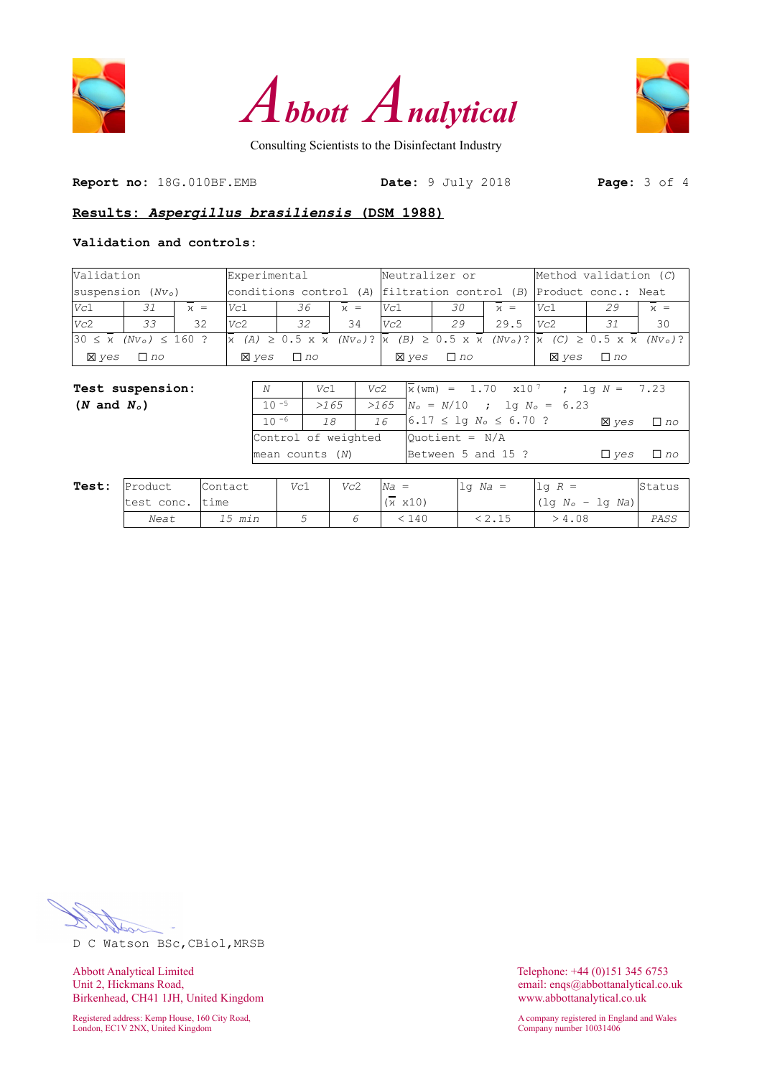





**Report no:** 18G.010BF.EMB **Date:** 9 July 2018 **Page:** 3 of 4

## **Results:** *Aspergillus brasiliensis* **(DSM 1988)**

## **Validation and controls:**

| Validation             |                                                                                  | Experimental |              |                                                                                                                                                                     |       | Neutralizer or |           |                     | Method validation $(C)$ |                                                       |       |
|------------------------|----------------------------------------------------------------------------------|--------------|--------------|---------------------------------------------------------------------------------------------------------------------------------------------------------------------|-------|----------------|-----------|---------------------|-------------------------|-------------------------------------------------------|-------|
|                        | $ {\rm suspension~}(Nv_0) $<br>conditions control $(A)$ filtration control $(B)$ |              |              |                                                                                                                                                                     |       |                |           | Product conc.: Neat |                         |                                                       |       |
| Vc1                    | 31                                                                               | $x =$        | Vc1          | 36                                                                                                                                                                  | $x =$ | Vc1            | 30        | $\nu =$             | Vc1                     | 29                                                    | $x =$ |
| Vc2                    | 33                                                                               | 32           | Vc2          | 32                                                                                                                                                                  | 34    | Vc2            | 29        | 29.5                | Vc2                     | 31                                                    | 30    |
| $30 \leq \overline{x}$ | $(Nv_0) \le 160$ ?                                                               |              |              | $\overline{\chi}$ (A) $\geq$ 0.5 x $\overline{\chi}$ (Nv <sub>o</sub> )? $\overline{\chi}$ (B) $\geq$ 0.5 x $\overline{\chi}$ (Nv <sub>o</sub> )? $\overline{\chi}$ |       |                |           |                     |                         | $(C) \ge 0.5 \times \overline{x}$ (Nv <sub>o</sub> )? |       |
| <b>X</b> ves           | $\Box$ no                                                                        |              | <b>X</b> ves | $\Box$ no                                                                                                                                                           |       | <b>X</b> ves   | $\Box$ no |                     | <b>X</b> ves            | $\Box$ no                                             |       |

| <b>Test suspension:</b> | N                   | Vc1  | Vc2 | $\bar{x}$ (wm) = 1.70 x10 <sup>7</sup> ; lg N = 7.23 |              |           |
|-------------------------|---------------------|------|-----|------------------------------------------------------|--------------|-----------|
| $(N \text{ and } N_o)$  | $10 - 5$            | >165 |     | $>165$ $N_o = N/10$ ; lg $N_o = 6.23$                |              |           |
|                         | $10 - 6$            | 18   | 16  | $6.17 \leq \log N_o \leq 6.70$ ?                     | <b>X</b> ves | $\Box$ no |
|                         | Control of weighted |      |     | $\vert$ Ouotient = N/A                               |              |           |
|                         | $mean$ counts $(N)$ |      |     | Between 5 and 15 ?                                   | $\Box$ ves   | $\Box$ no |
|                         |                     |      |     |                                                      |              |           |

| Test: | Product    | Contact | Vc1 | Vc2 | $Na =$          | $1q$ Na = | $lq R =$                         | Status |
|-------|------------|---------|-----|-----|-----------------|-----------|----------------------------------|--------|
|       | test conc. | ltime   |     |     | $(x \times 10)$ |           | $(\text{lg }N_o - \text{lg }Na)$ |        |
|       | Neat       | 15 min  |     |     | 140             |           | -4.08                            | PASS   |

حط

D C Watson BSc,CBiol,MRSB

Abbott Analytical Limited<br>
Unit 2, Hickmans Road,<br>
Unit 2, Hickmans Road,<br>
Conservation of the Maria Conservation of the Maria Conservation of the Maria Conservation of the Maria Conservation of the Maria Conservation of t Birkenhead, CH41 1JH, United Kingdom www.abbottanalytical.co.uk

Registered address: Kemp House, 160 City Road, and Males and Males and Males and Males and Males and Wales and Wales and Wales and Wales and Wales and Wales and Wales and Wales and Wales and Wales and Wales and Wales and M London, EC1V 2NX, United Kingdom Company number 10031406

email: enqs@abbottanalytical.co.uk